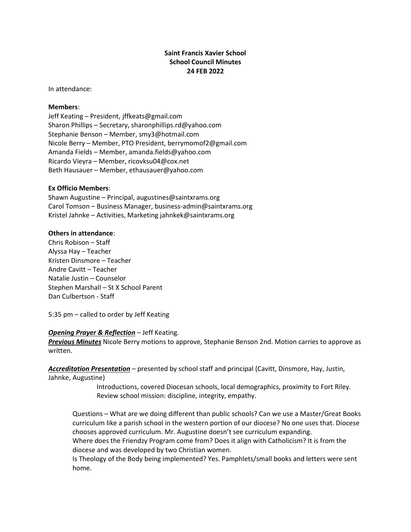# **Saint Francis Xavier School School Council Minutes 24 FEB 2022**

In attendance:

#### **Members**:

Jeff Keating – President, jffkeats@gmail.com Sharon Phillips – Secretary, sharonphillips.rd@yahoo.com Stephanie Benson – Member, smy3@hotmail.com Nicole Berry – Member, PTO President, berrymomof2@gmail.com Amanda Fields – Member, amanda.fields@yahoo.com Ricardo Vieyra – Member, ricovksu04@cox.net Beth Hausauer – Member, ethausauer@yahoo.com

#### **Ex Officio Members**:

Shawn Augustine – Principal, augustines@saintxrams.org Carol Tomson – Business Manager, business-admin@saintxrams.org Kristel Jahnke – Activities, Marketing jahnkek@saintxrams.org

#### **Others in attendance**:

Chris Robison – Staff Alyssa Hay – Teacher Kristen Dinsmore – Teacher Andre Cavitt – Teacher Natalie Justin – Counselor Stephen Marshall – St X School Parent Dan Culbertson - Staff

5:35 pm – called to order by Jeff Keating

## *Opening Prayer & Reflection* – Jeff Keating.

*Previous Minutes* Nicole Berry motions to approve, Stephanie Benson 2nd. Motion carries to approve as written.

*Accreditation Presentation* – presented by school staff and principal (Cavitt, Dinsmore, Hay, Justin, Jahnke, Augustine)

> Introductions, covered Diocesan schools, local demographics, proximity to Fort Riley. Review school mission: discipline, integrity, empathy.

Questions – What are we doing different than public schools? Can we use a Master/Great Books curriculum like a parish school in the western portion of our diocese? No one uses that. Diocese chooses approved curriculum. Mr. Augustine doesn't see curriculum expanding. Where does the Friendzy Program come from? Does it align with Catholicism? It is from the

diocese and was developed by two Christian women.

Is Theology of the Body being implemented? Yes. Pamphlets/small books and letters were sent home.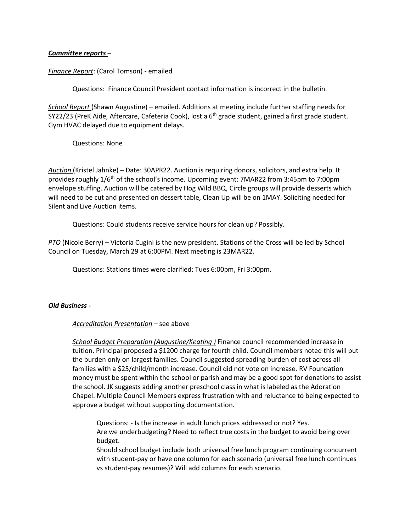## *Committee reports* –

*Finance Report*: (Carol Tomson) - emailed

Questions: Finance Council President contact information is incorrect in the bulletin.

*School Report* (Shawn Augustine) – emailed. Additions at meeting include further staffing needs for SY22/23 (PreK Aide, Aftercare, Cafeteria Cook), lost a 6<sup>th</sup> grade student, gained a first grade student. Gym HVAC delayed due to equipment delays.

Questions: None

*Auction* (Kristel Jahnke) – Date: 30APR22. Auction is requiring donors, solicitors, and extra help. It provides roughly 1/6th of the school's income. Upcoming event: 7MAR22 from 3:45pm to 7:00pm envelope stuffing. Auction will be catered by Hog Wild BBQ, Circle groups will provide desserts which will need to be cut and presented on dessert table, Clean Up will be on 1MAY. Soliciting needed for Silent and Live Auction items.

Questions: Could students receive service hours for clean up? Possibly.

*PTO* (Nicole Berry) – Victoria Cugini is the new president. Stations of the Cross will be led by School Council on Tuesday, March 29 at 6:00PM. Next meeting is 23MAR22.

Questions: Stations times were clarified: Tues 6:00pm, Fri 3:00pm.

## *Old Business* **-**

## *Accreditation Presentation –* see above

*School Budget Preparation (Augustine/Keating )* Finance council recommended increase in tuition. Principal proposed a \$1200 charge for fourth child. Council members noted this will put the burden only on largest families. Council suggested spreading burden of cost across all families with a \$25/child/month increase. Council did not vote on increase. RV Foundation money must be spent within the school or parish and may be a good spot for donations to assist the school. JK suggests adding another preschool class in what is labeled as the Adoration Chapel. Multiple Council Members express frustration with and reluctance to being expected to approve a budget without supporting documentation.

Questions: *-* Is the increase in adult lunch prices addressed or not? Yes. Are we underbudgeting? Need to reflect true costs in the budget to avoid being over budget.

Should school budget include both universal free lunch program continuing concurrent with student-pay or have one column for each scenario (universal free lunch continues vs student-pay resumes)? Will add columns for each scenario.